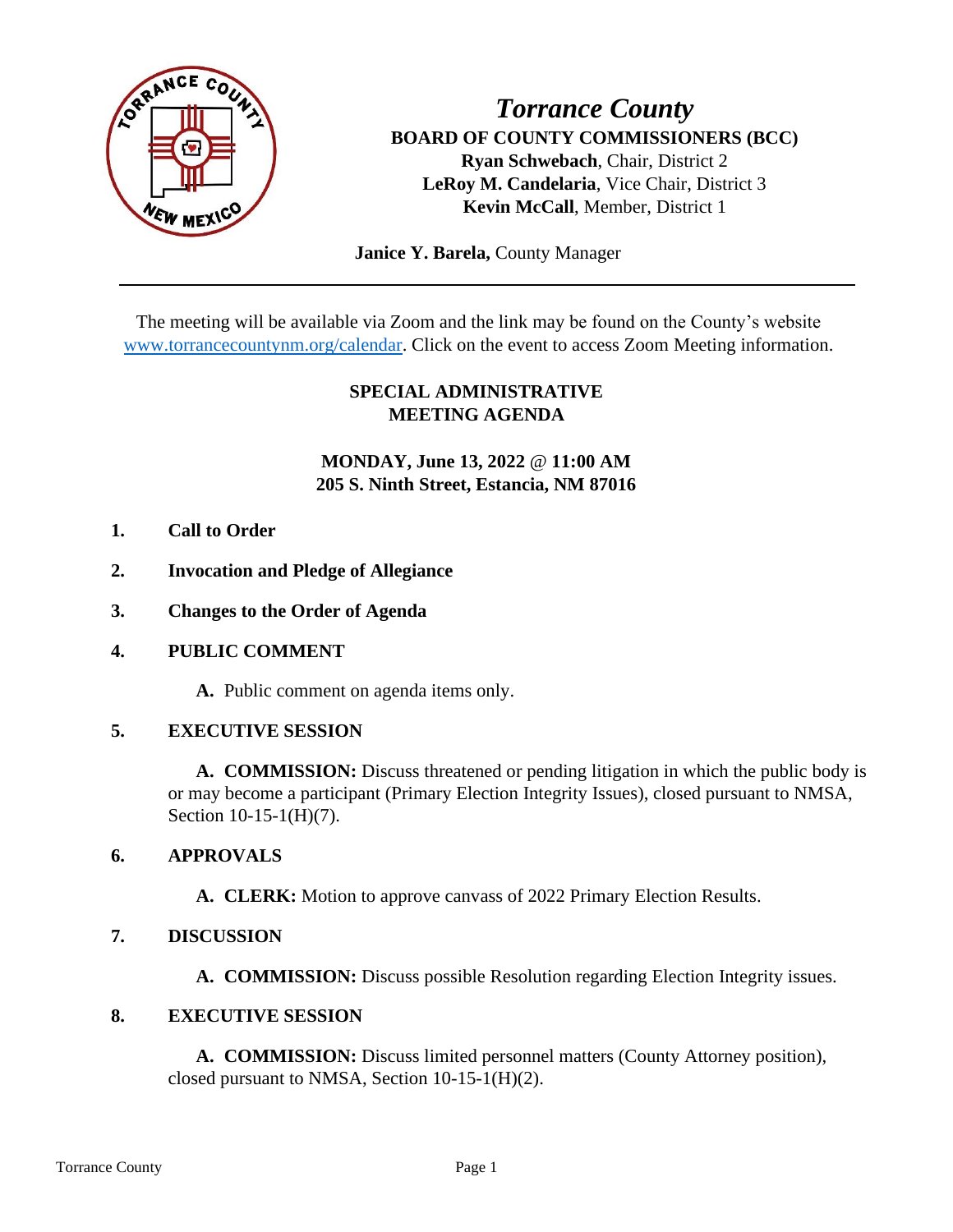

*Torrance County* **BOARD OF COUNTY COMMISSIONERS (BCC) Ryan Schwebach**, Chair, District 2 **LeRoy M. Candelaria**, Vice Chair, District 3 **Kevin McCall**, Member, District 1

 **Janice Y. Barela,** County Manager

The meeting will be available via Zoom and the link may be found on the County's website [www.torrancecountynm.org/calendar.](http://www.torrancecountynm.org/calendar) Click on the event to access Zoom Meeting information.

# **SPECIAL ADMINISTRATIVE MEETING AGENDA**

# **MONDAY, June 13, 2022** @ **11:00 AM 205 S. Ninth Street, Estancia, NM 87016**

- **1. Call to Order**
- **2. Invocation and Pledge of Allegiance**
- **3. Changes to the Order of Agenda**
- **4. PUBLIC COMMENT**

**A.** Public comment on agenda items only.

### **5. EXECUTIVE SESSION**

**A. COMMISSION:** Discuss threatened or pending litigation in which the public body is or may become a participant (Primary Election Integrity Issues), closed pursuant to NMSA, Section 10-15-1(H)(7).

#### **6. APPROVALS**

**A. CLERK:** Motion to approve canvass of 2022 Primary Election Results.

### **7. DISCUSSION**

**A. COMMISSION:** Discuss possible Resolution regarding Election Integrity issues.

#### **8. EXECUTIVE SESSION**

**A. COMMISSION:** Discuss limited personnel matters (County Attorney position), closed pursuant to NMSA, Section 10-15-1(H)(2).